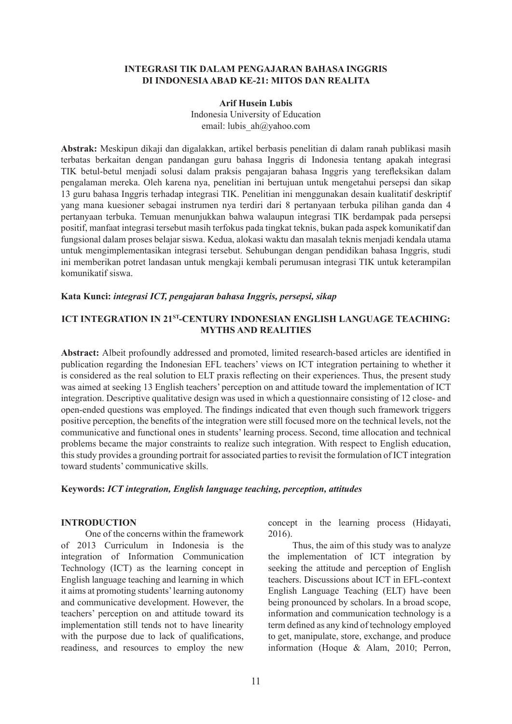### **INTEGRASI TIK DALAM PENGAJARAN BAHASA INGGRIS DI INDONESIA ABAD KE-21: MITOS DAN REALITA**

#### **Arif Husein Lubis**

Indonesia University of Education email: lubis ah@yahoo.com

**Abstrak:** Meskipun dikaji dan digalakkan, artikel berbasis penelitian di dalam ranah publikasi masih terbatas berkaitan dengan pandangan guru bahasa Inggris di Indonesia tentang apakah integrasi TIK betul-betul menjadi solusi dalam praksis pengajaran bahasa Inggris yang terefleksikan dalam pengalaman mereka. Oleh karena nya, penelitian ini bertujuan untuk mengetahui persepsi dan sikap 13 guru bahasa Inggris terhadap integrasi TIK. Penelitian ini menggunakan desain kualitatif deskriptif yang mana kuesioner sebagai instrumen nya terdiri dari 8 pertanyaan terbuka pilihan ganda dan 4 pertanyaan terbuka. Temuan menunjukkan bahwa walaupun integrasi TIK berdampak pada persepsi positif, manfaat integrasi tersebut masih terfokus pada tingkat teknis, bukan pada aspek komunikatif dan fungsional dalam proses belajar siswa. Kedua, alokasi waktu dan masalah teknis menjadi kendala utama untuk mengimplementasikan integrasi tersebut. Sehubungan dengan pendidikan bahasa Inggris, studi ini memberikan potret landasan untuk mengkaji kembali perumusan integrasi TIK untuk keterampilan komunikatif siswa.

#### **Kata Kunci:** *integrasi ICT, pengajaran bahasa Inggris, persepsi, sikap*

## **ICT INTEGRATION IN 21<sup>ST</sup>-CENTURY INDONESIAN ENGLISH LANGUAGE TEACHING: MYTHS AND REALITIES**

**Abstract:** Albeit profoundly addressed and promoted, limited research-based articles are identified in publication regarding the Indonesian EFL teachers' views on ICT integration pertaining to whether it is considered as the real solution to ELT praxis reflecting on their experiences. Thus, the present study was aimed at seeking 13 English teachers' perception on and attitude toward the implementation of ICT integration. Descriptive qualitative design was used in which a questionnaire consisting of 12 close- and open-ended questions was employed. The findings indicated that even though such framework triggers positive perception, the benefits of the integration were still focused more on the technical levels, not the communicative and functional ones in students' learning process. Second, time allocation and technical problems became the major constraints to realize such integration. With respect to English education, this study provides a grounding portrait for associated parties to revisit the formulation of ICT integration toward students' communicative skills.

### **Keywords:** *ICT integration, English language teaching, perception, attitudes*

### **INTRODUCTION**

One of the concerns within the framework of 2013 Curriculum in Indonesia is the integration of Information Communication Technology (ICT) as the learning concept in English language teaching and learning in which it aims at promoting students' learning autonomy and communicative development. However, the teachers' perception on and attitude toward its implementation still tends not to have linearity with the purpose due to lack of qualifications. readiness, and resources to employ the new concept in the learning process (Hidayati, 2016).

Thus, the aim of this study was to analyze the implementation of ICT integration by seeking the attitude and perception of English teachers. Discussions about ICT in EFL-context English Language Teaching (ELT) have been being pronounced by scholars. In a broad scope, information and communication technology is a term defined as any kind of technology employed to get, manipulate, store, exchange, and produce information (Hoque & Alam, 2010; Perron,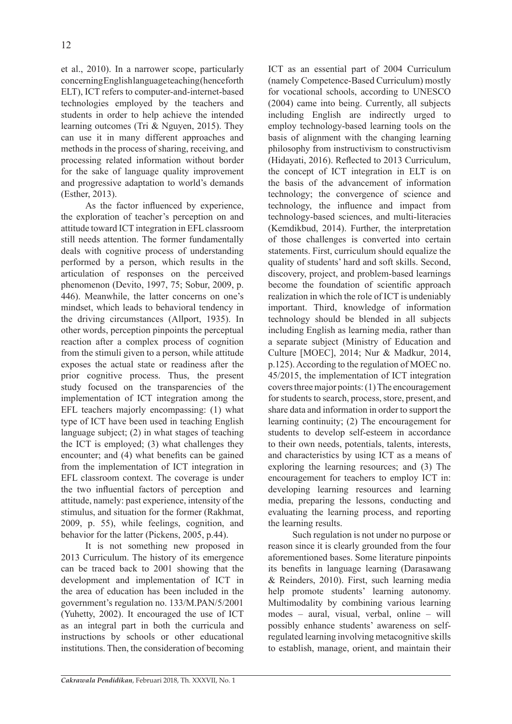et al., 2010). In a narrower scope, particularly concerning English language teaching (henceforth ELT), ICT refers to computer-and-internet-based technologies employed by the teachers and students in order to help achieve the intended learning outcomes (Tri & Nguyen, 2015). They can use it in many different approaches and methods in the process of sharing, receiving, and processing related information without border for the sake of language quality improvement and progressive adaptation to world's demands (Esther, 2013).

As the factor influenced by experience, the exploration of teacher's perception on and attitude toward ICT integration in EFL classroom still needs attention. The former fundamentally deals with cognitive process of understanding performed by a person, which results in the articulation of responses on the perceived phenomenon (Devito, 1997, 75; Sobur, 2009, p. 446). Meanwhile, the latter concerns on one's mindset, which leads to behavioral tendency in the driving circumstances (Allport, 1935). In other words, perception pinpoints the perceptual reaction after a complex process of cognition from the stimuli given to a person, while attitude exposes the actual state or readiness after the prior cognitive process. Thus, the present study focused on the transparencies of the implementation of ICT integration among the EFL teachers majorly encompassing: (1) what type of ICT have been used in teaching English language subject; (2) in what stages of teaching the ICT is employed; (3) what challenges they encounter; and (4) what benefits can be gained from the implementation of ICT integration in EFL classroom context. The coverage is under the two influential factors of perception and attitude, namely: past experience, intensity of the stimulus, and situation for the former (Rakhmat, 2009, p. 55), while feelings, cognition, and behavior for the latter (Pickens, 2005, p.44).

It is not something new proposed in 2013 Curriculum. The history of its emergence can be traced back to 2001 showing that the development and implementation of ICT in the area of education has been included in the government's regulation no. 133/M.PAN/5/2001 (Yuhetty, 2002). It encouraged the use of ICT as an integral part in both the curricula and instructions by schools or other educational institutions. Then, the consideration of becoming ICT as an essential part of 2004 Curriculum (namely Competence-Based Curriculum) mostly for vocational schools, according to UNESCO (2004) came into being. Currently, all subjects including English are indirectly urged to employ technology-based learning tools on the basis of alignment with the changing learning philosophy from instructivism to constructivism (Hidayati, 2016). Reflected to 2013 Curriculum, the concept of ICT integration in ELT is on the basis of the advancement of information technology; the convergence of science and technology, the influence and impact from technology-based sciences, and multi-literacies (Kemdikbud, 2014). Further, the interpretation of those challenges is converted into certain statements. First, curriculum should equalize the quality of students' hard and soft skills. Second, discovery, project, and problem-based learnings become the foundation of scientific approach realization in which the role of ICT is undeniably important. Third, knowledge of information technology should be blended in all subjects including English as learning media, rather than a separate subject (Ministry of Education and Culture [MOEC], 2014; Nur & Madkur, 2014, p.125). According to the regulation of MOEC no. 45/2015, the implementation of ICT integration covers three major points: (1) The encouragement for students to search, process, store, present, and share data and information in order to support the learning continuity; (2) The encouragement for students to develop self-esteem in accordance to their own needs, potentials, talents, interests, and characteristics by using ICT as a means of exploring the learning resources; and (3) The encouragement for teachers to employ ICT in: developing learning resources and learning media, preparing the lessons, conducting and evaluating the learning process, and reporting the learning results.

Such regulation is not under no purpose or reason since it is clearly grounded from the four aforementioned bases. Some literature pinpoints its benefits in language learning (Darasawang & Reinders, 2010). First, such learning media help promote students' learning autonomy. Multimodality by combining various learning modes – aural, visual, verbal, online – will possibly enhance students' awareness on selfregulated learning involving metacognitive skills to establish, manage, orient, and maintain their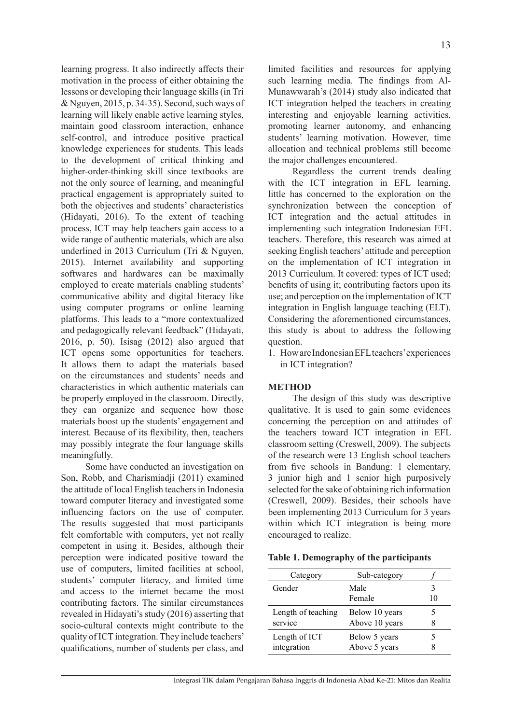learning progress. It also indirectly affects their motivation in the process of either obtaining the lessons or developing their language skills (in Tri & Nguyen, 2015, p. 34-35). Second, such ways of learning will likely enable active learning styles, maintain good classroom interaction, enhance self-control, and introduce positive practical knowledge experiences for students. This leads to the development of critical thinking and higher-order-thinking skill since textbooks are not the only source of learning, and meaningful practical engagement is appropriately suited to both the objectives and students' characteristics (Hidayati, 2016). To the extent of teaching process, ICT may help teachers gain access to a wide range of authentic materials, which are also underlined in 2013 Curriculum (Tri & Nguyen, 2015). Internet availability and supporting softwares and hardwares can be maximally employed to create materials enabling students' communicative ability and digital literacy like using computer programs or online learning platforms. This leads to a "more contextualized and pedagogically relevant feedback" (Hidayati, 2016, p. 50). Isisag (2012) also argued that ICT opens some opportunities for teachers. It allows them to adapt the materials based on the circumstances and students' needs and characteristics in which authentic materials can be properly employed in the classroom. Directly, they can organize and sequence how those materials boost up the students' engagement and interest. Because of its flexibility, then, teachers may possibly integrate the four language skills meaningfully.

Some have conducted an investigation on Son, Robb, and Charismiadji (2011) examined the attitude of local English teachers in Indonesia toward computer literacy and investigated some influencing factors on the use of computer. The results suggested that most participants felt comfortable with computers, yet not really competent in using it. Besides, although their perception were indicated positive toward the use of computers, limited facilities at school, students' computer literacy, and limited time and access to the internet became the most contributing factors. The similar circumstances revealed in Hidayati's study (2016) asserting that socio-cultural contexts might contribute to the quality of ICT integration. They include teachers' qualifications, number of students per class, and limited facilities and resources for applying such learning media. The findings from Al-Munawwarah's (2014) study also indicated that ICT integration helped the teachers in creating interesting and enjoyable learning activities, promoting learner autonomy, and enhancing students' learning motivation. However, time allocation and technical problems still become the major challenges encountered.

Regardless the current trends dealing with the ICT integration in EFL learning, little has concerned to the exploration on the synchronization between the conception of ICT integration and the actual attitudes in implementing such integration Indonesian EFL teachers. Therefore, this research was aimed at seeking English teachers' attitude and perception on the implementation of ICT integration in 2013 Curriculum. It covered: types of ICT used; benefits of using it; contributing factors upon its use; and perception on the implementation of ICT integration in English language teaching (ELT). Considering the aforementioned circumstances, this study is about to address the following question.

1. How are Indonesian EFL teachers' experiences in ICT integration?

# **METHOD**

The design of this study was descriptive qualitative. It is used to gain some evidences concerning the perception on and attitudes of the teachers toward ICT integration in EFL classroom setting (Creswell, 2009). The subjects of the research were 13 English school teachers from five schools in Bandung: 1 elementary, 3 junior high and 1 senior high purposively selected for the sake of obtaining rich information (Creswell, 2009). Besides, their schools have been implementing 2013 Curriculum for 3 years within which ICT integration is being more encouraged to realize.

| Table 1. Demography of the participants |  |  |  |  |
|-----------------------------------------|--|--|--|--|
|-----------------------------------------|--|--|--|--|

| Category                      | Sub-category                     |    |
|-------------------------------|----------------------------------|----|
| Gender                        | Male<br>Female                   | 10 |
| Length of teaching<br>service | Below 10 years<br>Above 10 years |    |
| Length of ICT<br>integration  | Below 5 years<br>Above 5 years   |    |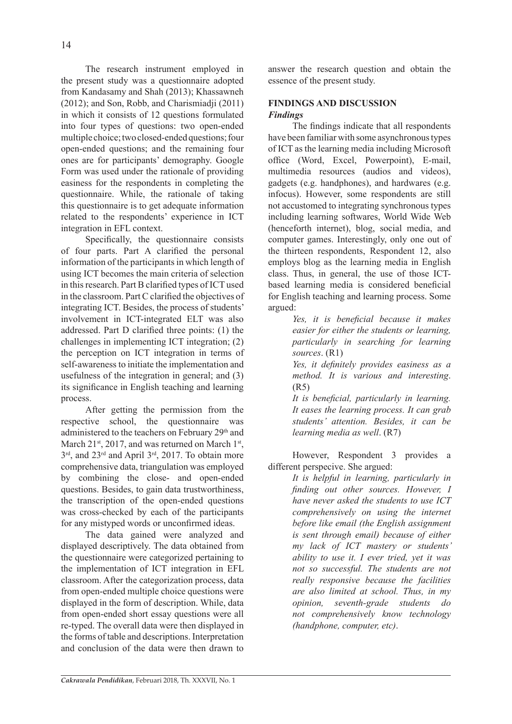The research instrument employed in the present study was a questionnaire adopted from Kandasamy and Shah (2013); Khassawneh (2012); and Son, Robb, and Charismiadji (2011) in which it consists of 12 questions formulated into four types of questions: two open-ended multiple choice; two closed-ended questions; four open-ended questions; and the remaining four ones are for participants' demography. Google Form was used under the rationale of providing easiness for the respondents in completing the questionnaire. While, the rationale of taking this questionnaire is to get adequate information related to the respondents' experience in ICT integration in EFL context.

Specifically, the questionnaire consists of four parts. Part A clarified the personal information of the participants in which length of using ICT becomes the main criteria of selection in this research. Part B clarified types of ICT used in the classroom. Part C clarified the objectives of integrating ICT. Besides, the process of students' involvement in ICT-integrated ELT was also addressed. Part D clarified three points: (1) the challenges in implementing ICT integration; (2) the perception on ICT integration in terms of self-awareness to initiate the implementation and usefulness of the integration in general; and (3) its significance in English teaching and learning process.

After getting the permission from the respective school, the questionnaire was administered to the teachers on February 29<sup>th</sup> and March 21<sup>st</sup>, 2017, and was returned on March 1<sup>st</sup>, 3<sup>rd</sup>, and 23<sup>rd</sup> and April 3<sup>rd</sup>, 2017. To obtain more comprehensive data, triangulation was employed by combining the close- and open-ended questions. Besides, to gain data trustworthiness, the transcription of the open-ended questions was cross-checked by each of the participants for any mistyped words or unconfirmed ideas.

The data gained were analyzed and displayed descriptively. The data obtained from the questionnaire were categorized pertaining to the implementation of ICT integration in EFL classroom. After the categorization process, data from open-ended multiple choice questions were displayed in the form of description. While, data from open-ended short essay questions were all re-typed. The overall data were then displayed in the forms of table and descriptions. Interpretation and conclusion of the data were then drawn to

answer the research question and obtain the essence of the present study.

# **FINDINGS AND DISCUSSION** *Findings*

The findings indicate that all respondents have been familiar with some asynchronous types of ICT as the learning media including Microsoft office (Word, Excel, Powerpoint), E-mail, multimedia resources (audios and videos), gadgets (e.g. handphones), and hardwares (e.g. infocus). However, some respondents are still not accustomed to integrating synchronous types including learning softwares, World Wide Web (henceforth internet), blog, social media, and computer games. Interestingly, only one out of the thirteen respondents, Respondent 12, also employs blog as the learning media in English class. Thus, in general, the use of those ICTbased learning media is considered beneficial for English teaching and learning process. Some argued:

> *Yes, it is beneficial because it makes easier for either the students or learning, particularly in searching for learning sources*. (R1)

> *Yes, it definitely provides easiness as a method. It is various and interesting*. (R5)

> *It is beneficial, particularly in learning. It eases the learning process. It can grab students' attention. Besides, it can be learning media as well*. (R7)

However, Respondent 3 provides a different perspecive. She argued:

*It is helpful in learning, particularly in finding out other sources. However, I have never asked the students to use ICT comprehensively on using the internet before like email (the English assignment is sent through email) because of either my lack of ICT mastery or students' ability to use it. I ever tried, yet it was not so successful. The students are not really responsive because the facilities are also limited at school. Thus, in my opinion, seventh-grade students do not comprehensively know technology (handphone, computer, etc)*.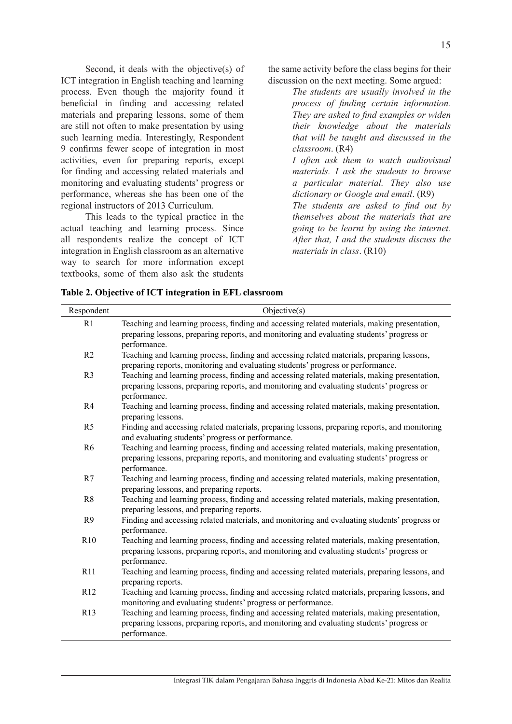Second, it deals with the objective(s) of ICT integration in English teaching and learning process. Even though the majority found it beneficial in finding and accessing related materials and preparing lessons, some of them are still not often to make presentation by using such learning media. Interestingly, Respondent 9 confirms fewer scope of integration in most activities, even for preparing reports, except for finding and accessing related materials and monitoring and evaluating students' progress or performance, whereas she has been one of the regional instructors of 2013 Curriculum.

This leads to the typical practice in the actual teaching and learning process. Since all respondents realize the concept of ICT integration in English classroom as an alternative way to search for more information except textbooks, some of them also ask the students the same activity before the class begins for their discussion on the next meeting. Some argued:

> *The students are usually involved in the process of finding certain information. They are asked to find examples or widen their knowledge about the materials that will be taught and discussed in the classroom*. (R4)

> *I often ask them to watch audiovisual materials. I ask the students to browse a particular material. They also use dictionary or Google and email*. (R9)

> *The students are asked to find out by themselves about the materials that are going to be learnt by using the internet. After that, I and the students discuss the materials in class*. (R10)

|  |  |  | Table 2. Objective of ICT integration in EFL classroom |  |  |  |
|--|--|--|--------------------------------------------------------|--|--|--|
|--|--|--|--------------------------------------------------------|--|--|--|

| Respondent      | Objective(s)                                                                                                                                                                                              |
|-----------------|-----------------------------------------------------------------------------------------------------------------------------------------------------------------------------------------------------------|
| R1              | Teaching and learning process, finding and accessing related materials, making presentation,<br>preparing lessons, preparing reports, and monitoring and evaluating students' progress or<br>performance. |
| R2              | Teaching and learning process, finding and accessing related materials, preparing lessons,<br>preparing reports, monitoring and evaluating students' progress or performance.                             |
| R <sub>3</sub>  | Teaching and learning process, finding and accessing related materials, making presentation,<br>preparing lessons, preparing reports, and monitoring and evaluating students' progress or<br>performance. |
| R4              | Teaching and learning process, finding and accessing related materials, making presentation,<br>preparing lessons.                                                                                        |
| R <sub>5</sub>  | Finding and accessing related materials, preparing lessons, preparing reports, and monitoring<br>and evaluating students' progress or performance.                                                        |
| R <sub>6</sub>  | Teaching and learning process, finding and accessing related materials, making presentation,<br>preparing lessons, preparing reports, and monitoring and evaluating students' progress or<br>performance. |
| R7              | Teaching and learning process, finding and accessing related materials, making presentation,<br>preparing lessons, and preparing reports.                                                                 |
| R8              | Teaching and learning process, finding and accessing related materials, making presentation,<br>preparing lessons, and preparing reports.                                                                 |
| R <sub>9</sub>  | Finding and accessing related materials, and monitoring and evaluating students' progress or<br>performance.                                                                                              |
| R <sub>10</sub> | Teaching and learning process, finding and accessing related materials, making presentation,<br>preparing lessons, preparing reports, and monitoring and evaluating students' progress or<br>performance. |
| R11             | Teaching and learning process, finding and accessing related materials, preparing lessons, and<br>preparing reports.                                                                                      |
| R12             | Teaching and learning process, finding and accessing related materials, preparing lessons, and<br>monitoring and evaluating students' progress or performance.                                            |
| R13             | Teaching and learning process, finding and accessing related materials, making presentation,<br>preparing lessons, preparing reports, and monitoring and evaluating students' progress or<br>performance. |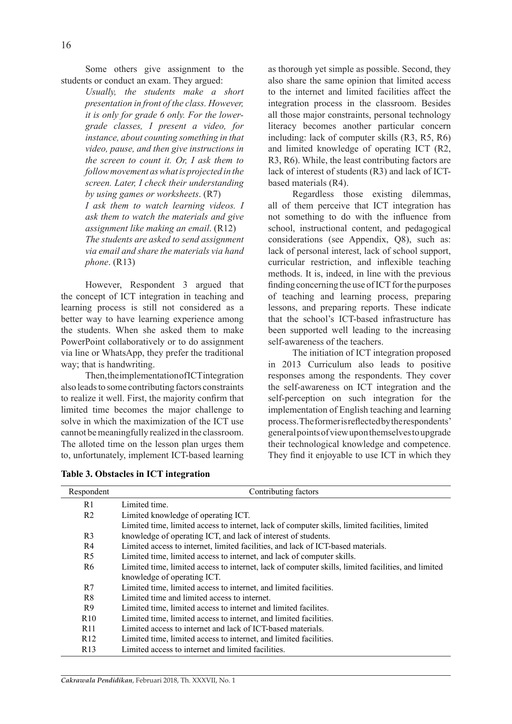Some others give assignment to the students or conduct an exam. They argued:

*Usually, the students make a short presentation in front of the class. However, it is only for grade 6 only. For the lowergrade classes, I present a video, for instance, about counting something in that video, pause, and then give instructions in the screen to count it. Or, I ask them to follow movement as what is projected in the screen. Later, I check their understanding by using games or worksheets*. (R7) *I ask them to watch learning videos. I ask them to watch the materials and give assignment like making an email*. (R12) *The students are asked to send assignment via email and share the materials via hand phone*. (R13)

However, Respondent 3 argued that the concept of ICT integration in teaching and learning process is still not considered as a better way to have learning experience among the students. When she asked them to make PowerPoint collaboratively or to do assignment via line or WhatsApp, they prefer the traditional way; that is handwriting.

Then, the implementation of ICT integration also leads to some contributing factors constraints to realize it well. First, the majority confirm that limited time becomes the major challenge to solve in which the maximization of the ICT use cannot be meaningfully realized in the classroom. The alloted time on the lesson plan urges them to, unfortunately, implement ICT-based learning as thorough yet simple as possible. Second, they also share the same opinion that limited access to the internet and limited facilities affect the integration process in the classroom. Besides all those major constraints, personal technology literacy becomes another particular concern including: lack of computer skills (R3, R5, R6) and limited knowledge of operating ICT (R2, R3, R6). While, the least contributing factors are lack of interest of students (R3) and lack of ICTbased materials (R4).

Regardless those existing dilemmas, all of them perceive that ICT integration has not something to do with the influence from school, instructional content, and pedagogical considerations (see Appendix, Q8), such as: lack of personal interest, lack of school support, curricular restriction, and inflexible teaching methods. It is, indeed, in line with the previous finding concerning the use of ICT for the purposes of teaching and learning process, preparing lessons, and preparing reports. These indicate that the school's ICT-based infrastructure has been supported well leading to the increasing self-awareness of the teachers.

The initiation of ICT integration proposed in 2013 Curriculum also leads to positive responses among the respondents. They cover the self-awareness on ICT integration and the self-perception on such integration for the implementation of English teaching and learning process. The former is reflected by the respondents' general points of view upon themselves to upgrade their technological knowledge and competence. They find it enjoyable to use ICT in which they

|  |  |  | Table 3. Obstacles in ICT integration |
|--|--|--|---------------------------------------|
|--|--|--|---------------------------------------|

| Respondent     | Contributing factors                                                                               |
|----------------|----------------------------------------------------------------------------------------------------|
| R1             | Limited time.                                                                                      |
| R <sub>2</sub> | Limited knowledge of operating ICT.                                                                |
|                | Limited time, limited access to internet, lack of computer skills, limited facilities, limited     |
| R <sub>3</sub> | knowledge of operating ICT, and lack of interest of students.                                      |
| R4             | Limited access to internet, limited facilities, and lack of ICT-based materials.                   |
| R5             | Limited time, limited access to internet, and lack of computer skills.                             |
| R6             | Limited time, limited access to internet, lack of computer skills, limited facilities, and limited |
|                | knowledge of operating ICT.                                                                        |
| R7             | Limited time, limited access to internet, and limited facilities.                                  |
| R <sup>8</sup> | Limited time and limited access to internet.                                                       |
| R <sub>9</sub> | Limited time, limited access to internet and limited facilities.                                   |
| R10            | Limited time, limited access to internet, and limited facilities.                                  |
| R11            | Limited access to internet and lack of ICT-based materials.                                        |
| R12            | Limited time, limited access to internet, and limited facilities.                                  |
| R13            | Limited access to internet and limited facilities.                                                 |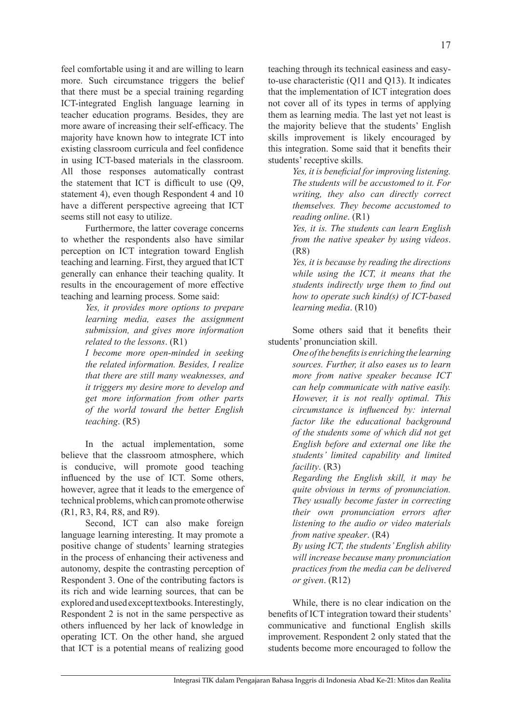feel comfortable using it and are willing to learn more. Such circumstance triggers the belief that there must be a special training regarding ICT-integrated English language learning in teacher education programs. Besides, they are more aware of increasing their self-efficacy. The majority have known how to integrate ICT into existing classroom curricula and feel confidence in using ICT-based materials in the classroom. All those responses automatically contrast the statement that ICT is difficult to use (Q9, statement 4), even though Respondent 4 and 10 have a different perspective agreeing that ICT seems still not easy to utilize.

Furthermore, the latter coverage concerns to whether the respondents also have similar perception on ICT integration toward English teaching and learning. First, they argued that ICT generally can enhance their teaching quality. It results in the encouragement of more effective teaching and learning process. Some said:

> *Yes, it provides more options to prepare learning media, eases the assignment submission, and gives more information related to the lessons*. (R1)

> *I become more open-minded in seeking the related information. Besides, I realize that there are still many weaknesses, and it triggers my desire more to develop and get more information from other parts of the world toward the better English teaching*. (R5)

In the actual implementation, some believe that the classroom atmosphere, which is conducive, will promote good teaching influenced by the use of ICT. Some others, however, agree that it leads to the emergence of technical problems, which can promote otherwise (R1, R3, R4, R8, and R9).

Second, ICT can also make foreign language learning interesting. It may promote a positive change of students' learning strategies in the process of enhancing their activeness and autonomy, despite the contrasting perception of Respondent 3. One of the contributing factors is its rich and wide learning sources, that can be explored and used except textbooks. Interestingly, Respondent 2 is not in the same perspective as others influenced by her lack of knowledge in operating ICT. On the other hand, she argued that ICT is a potential means of realizing good teaching through its technical easiness and easyto-use characteristic (Q11 and Q13). It indicates that the implementation of ICT integration does not cover all of its types in terms of applying them as learning media. The last yet not least is the majority believe that the students' English skills improvement is likely encouraged by this integration. Some said that it benefits their students' receptive skills.

> *Yes, it is beneficial for improving listening. The students will be accustomed to it. For writing, they also can directly correct themselves. They become accustomed to reading online*. (R1)

> *Yes, it is. The students can learn English from the native speaker by using videos*. (R8)

> *Yes, it is because by reading the directions while using the ICT, it means that the students indirectly urge them to find out how to operate such kind(s) of ICT-based learning media*. (R10)

Some others said that it benefits their students' pronunciation skill.

> *One of the benefits is enriching the learning sources. Further, it also eases us to learn more from native speaker because ICT can help communicate with native easily. However, it is not really optimal. This circumstance is influenced by: internal factor like the educational background of the students some of which did not get English before and external one like the students' limited capability and limited facility*. (R3)

> *Regarding the English skill, it may be quite obvious in terms of pronunciation. They usually become faster in correcting their own pronunciation errors after listening to the audio or video materials from native speaker*. (R4)

> *By using ICT, the students' English ability will increase because many pronunciation practices from the media can be delivered or given*. (R12)

While, there is no clear indication on the benefits of ICT integration toward their students' communicative and functional English skills improvement. Respondent 2 only stated that the students become more encouraged to follow the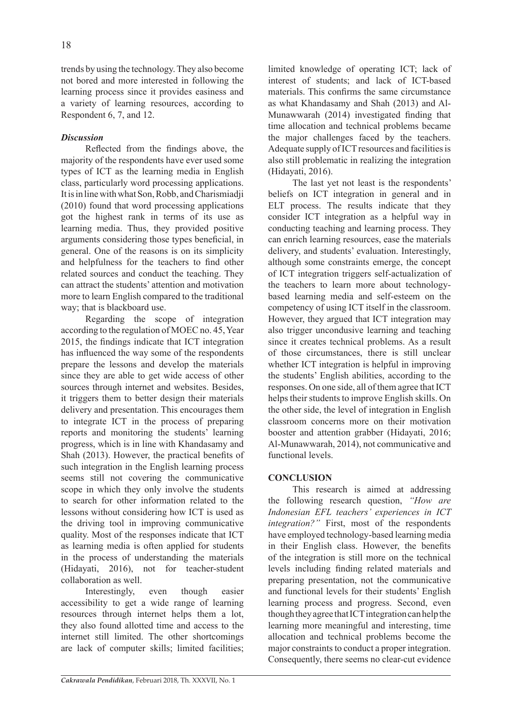trends by using the technology. They also become not bored and more interested in following the learning process since it provides easiness and a variety of learning resources, according to Respondent 6, 7, and 12.

## *Discussion*

Reflected from the findings above, the majority of the respondents have ever used some types of ICT as the learning media in English class, particularly word processing applications. It is in line with what Son, Robb, and Charismiadji (2010) found that word processing applications got the highest rank in terms of its use as learning media. Thus, they provided positive arguments considering those types beneficial, in general. One of the reasons is on its simplicity and helpfulness for the teachers to find other related sources and conduct the teaching. They can attract the students' attention and motivation more to learn English compared to the traditional way; that is blackboard use.

Regarding the scope of integration according to the regulation of MOEC no. 45, Year 2015, the findings indicate that ICT integration has influenced the way some of the respondents prepare the lessons and develop the materials since they are able to get wide access of other sources through internet and websites. Besides, it triggers them to better design their materials delivery and presentation. This encourages them to integrate ICT in the process of preparing reports and monitoring the students' learning progress, which is in line with Khandasamy and Shah (2013). However, the practical benefits of such integration in the English learning process seems still not covering the communicative scope in which they only involve the students to search for other information related to the lessons without considering how ICT is used as the driving tool in improving communicative quality. Most of the responses indicate that ICT as learning media is often applied for students in the process of understanding the materials (Hidayati, 2016), not for teacher-student collaboration as well.

Interestingly, even though easier accessibility to get a wide range of learning resources through internet helps them a lot, they also found allotted time and access to the internet still limited. The other shortcomings are lack of computer skills; limited facilities; limited knowledge of operating ICT; lack of interest of students; and lack of ICT-based materials. This confirms the same circumstance as what Khandasamy and Shah (2013) and Al-Munawwarah (2014) investigated finding that time allocation and technical problems became the major challenges faced by the teachers. Adequate supply of ICT resources and facilities is also still problematic in realizing the integration (Hidayati, 2016).

The last yet not least is the respondents' beliefs on ICT integration in general and in ELT process. The results indicate that they consider ICT integration as a helpful way in conducting teaching and learning process. They can enrich learning resources, ease the materials delivery, and students' evaluation. Interestingly, although some constraints emerge, the concept of ICT integration triggers self-actualization of the teachers to learn more about technologybased learning media and self-esteem on the competency of using ICT itself in the classroom. However, they argued that ICT integration may also trigger uncondusive learning and teaching since it creates technical problems. As a result of those circumstances, there is still unclear whether ICT integration is helpful in improving the students' English abilities, according to the responses. On one side, all of them agree that ICT helps their students to improve English skills. On the other side, the level of integration in English classroom concerns more on their motivation booster and attention grabber (Hidayati, 2016; Al-Munawwarah, 2014), not communicative and functional levels.

# **CONCLUSION**

This research is aimed at addressing the following research question, *"How are Indonesian EFL teachers' experiences in ICT integration?"* First, most of the respondents have employed technology-based learning media in their English class. However, the benefits of the integration is still more on the technical levels including finding related materials and preparing presentation, not the communicative and functional levels for their students' English learning process and progress. Second, even though they agree that ICT integration can help the learning more meaningful and interesting, time allocation and technical problems become the major constraints to conduct a proper integration. Consequently, there seems no clear-cut evidence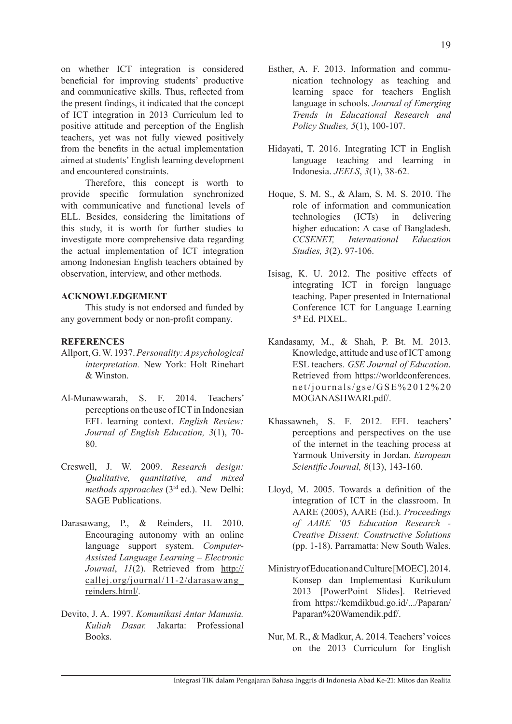on whether ICT integration is considered beneficial for improving students' productive and communicative skills. Thus, reflected from the present findings, it indicated that the concept of ICT integration in 2013 Curriculum led to positive attitude and perception of the English teachers, yet was not fully viewed positively from the benefits in the actual implementation aimed at students' English learning development and encountered constraints.

Therefore, this concept is worth to provide specific formulation synchronized with communicative and functional levels of ELL. Besides, considering the limitations of this study, it is worth for further studies to investigate more comprehensive data regarding the actual implementation of ICT integration among Indonesian English teachers obtained by observation, interview, and other methods.

### **ACKNOWLEDGEMENT**

This study is not endorsed and funded by any government body or non-profit company.

#### **REFERENCES**

- Allport, G. W. 1937. *Personality: A psychological interpretation.* New York: Holt Rinehart & Winston.
- Al-Munawwarah, S. F. 2014. Teachers' perceptions on the use of ICT in Indonesian EFL learning context. *English Review: Journal of English Education, 3*(1), 70- 80.
- Creswell, J. W. 2009. *Research design: Qualitative, quantitative, and mixed methods approaches* (3rd ed.). New Delhi: SAGE Publications.
- Darasawang, P., & Reinders, H. 2010. Encouraging autonomy with an online language support system. *Computer-Assisted Language Learning – Electronic Journal*, *11*(2). Retrieved from http:// callej.org/journal/11-2/darasawang\_ reinders.html/.
- Devito, J. A. 1997. *Komunikasi Antar Manusia. Kuliah Dasar.* Jakarta: Professional Books.
- Esther, A. F. 2013. Information and communication technology as teaching and learning space for teachers English language in schools. *Journal of Emerging Trends in Educational Research and Policy Studies, 5*(1), 100-107.
- Hidayati, T. 2016. Integrating ICT in English language teaching and learning in Indonesia. *JEELS*, *3*(1), 38-62.
- Hoque, S. M. S., & Alam, S. M. S. 2010. The role of information and communication technologies (ICTs) in delivering higher education: A case of Bangladesh. *CCSENET, International Education Studies, 3*(2). 97-106.
- Isisag, K. U. 2012. The positive effects of integrating ICT in foreign language teaching. Paper presented in International Conference ICT for Language Learning 5th Ed. PIXEL.
- Kandasamy, M., & Shah, P. Bt. M. 2013. Knowledge, attitude and use of ICT among ESL teachers. *GSE Journal of Education*. Retrieved from https://worldconferences. net/journals/gse/GSE%2012%20 MOGANASHWARI.pdf/.
- Khassawneh, S. F. 2012. EFL teachers' perceptions and perspectives on the use of the internet in the teaching process at Yarmouk University in Jordan. *European Scientific Journal, 8*(13), 143-160.
- Lloyd, M. 2005. Towards a definition of the integration of ICT in the classroom. In AARE (2005), AARE (Ed.). *Proceedings of AARE '05 Education Research - Creative Dissent: Constructive Solutions*  (pp. 1-18). Parramatta: New South Wales.
- Ministry of Education and Culture [MOEC]. 2014. Konsep dan Implementasi Kurikulum 2013 [PowerPoint Slides]. Retrieved from https://kemdikbud.go.id/.../Paparan/ Paparan%20Wamendik.pdf/.
- Nur, M. R., & Madkur, A. 2014. Teachers' voices on the 2013 Curriculum for English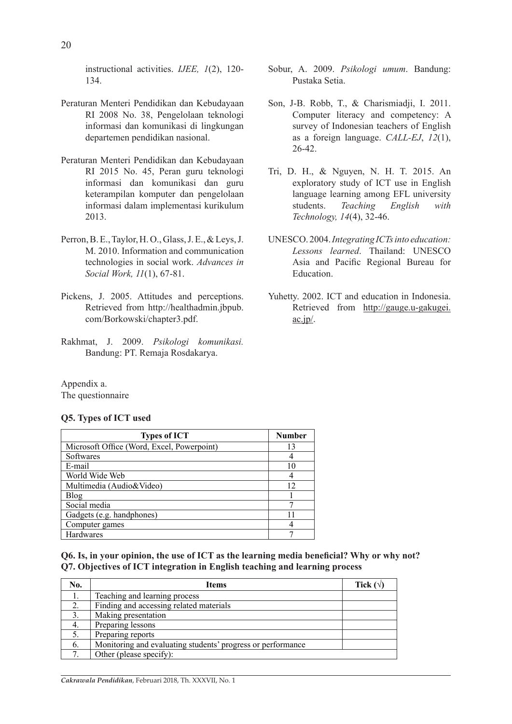instructional activities. *IJEE, 1*(2), 120- 134.

- Peraturan Menteri Pendidikan dan Kebudayaan RI 2008 No. 38, Pengelolaan teknologi informasi dan komunikasi di lingkungan departemen pendidikan nasional.
- Peraturan Menteri Pendidikan dan Kebudayaan RI 2015 No. 45, Peran guru teknologi informasi dan komunikasi dan guru keterampilan komputer dan pengelolaan informasi dalam implementasi kurikulum 2013.
- Perron, B. E., Taylor, H. O., Glass, J. E., & Leys, J. M. 2010. Information and communication technologies in social work. *Advances in Social Work, 11*(1), 67-81.
- Pickens, J. 2005. Attitudes and perceptions. Retrieved from http://healthadmin.jbpub. com/Borkowski/chapter3.pdf.
- Rakhmat, J. 2009. *Psikologi komunikasi.*  Bandung: PT. Remaja Rosdakarya.
- Sobur, A. 2009. *Psikologi umum*. Bandung: Pustaka Setia.
- Son, J-B. Robb, T., & Charismiadji, I. 2011. Computer literacy and competency: A survey of Indonesian teachers of English as a foreign language. *CALL-EJ*, *12*(1), 26-42.
- Tri, D. H., & Nguyen, N. H. T. 2015. An exploratory study of ICT use in English language learning among EFL university students. *Teaching English with Technology, 14*(4), 32-46.
- UNESCO. 2004. *Integrating ICTs into education: Lessons learned*. Thailand: UNESCO Asia and Pacific Regional Bureau for Education.
- Yuhetty. 2002. ICT and education in Indonesia. Retrieved from http://gauge.u-gakugei.  $ac.jp/$ .

Appendix a. The questionnaire

### **Q5. Types of ICT used**

| <b>Types of ICT</b>                        | <b>Number</b> |
|--------------------------------------------|---------------|
| Microsoft Office (Word, Excel, Powerpoint) | 13            |
| Softwares                                  |               |
| E-mail                                     | 10            |
| World Wide Web                             |               |
| Multimedia (Audio&Video)                   | 12            |
| <b>Blog</b>                                |               |
| Social media                               |               |
| Gadgets (e.g. handphones)                  |               |
| Computer games                             |               |
| <b>Hardwares</b>                           |               |

**Q6. Is, in your opinion, the use of ICT as the learning media beneficial? Why or why not? Q7. Objectives of ICT integration in English teaching and learning process** 

| No. | <b>Items</b>                                                | Tick $(\forall)$ |
|-----|-------------------------------------------------------------|------------------|
|     | Teaching and learning process                               |                  |
| 2.  | Finding and accessing related materials                     |                  |
| 3.  | Making presentation                                         |                  |
| 4.  | Preparing lessons                                           |                  |
| 5.  | Preparing reports                                           |                  |
| 6.  | Monitoring and evaluating students' progress or performance |                  |
|     | Other (please specify):                                     |                  |